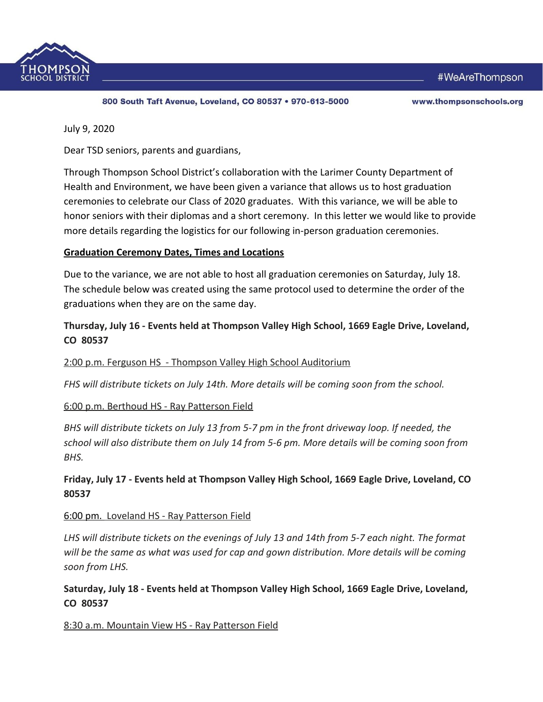

800 South Taft Avenue, Loveland, CO 80537 . 970-613-5000

#WeAreThompson

www.thompsonschools.org

July 9, 2020

Dear TSD seniors, parents and guardians,

Through Thompson School District's collaboration with the Larimer County Department of Health and Environment, we have been given a variance that allows us to host graduation ceremonies to celebrate our Class of 2020 graduates. With this variance, we will be able to honor seniors with their diplomas and a short ceremony. In this letter we would like to provide more details regarding the logistics for our following in-person graduation ceremonies.

### **Graduation Ceremony Dates, Times and Locations**

Due to the variance, we are not able to host all graduation ceremonies on Saturday, July 18. The schedule below was created using the same protocol used to determine the order of the graduations when they are on the same day.

## **Thursday, July 16 - Events held at Thompson Valley High School, 1669 Eagle Drive, Loveland, CO 80537**

#### 2:00 p.m. Ferguson HS - Thompson Valley High School Auditorium

*FHS will distribute tickets on July 14th. More details will be coming soon from the school.*

### 6:00 p.m. Berthoud HS - Ray Patterson Field

*BHS will distribute tickets on July 13 from 5-7 pm in the front driveway loop. If needed, the school will also distribute them on July 14 from 5-6 pm. More details will be coming soon from BHS.*

## **Friday, July 17 - Events held at Thompson Valley High School, 1669 Eagle Drive, Loveland, CO 80537**

### 6:00 pm. Loveland HS - Ray Patterson Field

*LHS will distribute tickets on the evenings of July 13 and 14th from 5-7 each night. The format will be the same as what was used for cap and gown distribution. More details will be coming soon from LHS.*

## **Saturday, July 18 - Events held at Thompson Valley High School, 1669 Eagle Drive, Loveland, CO 80537**

#### 8:30 a.m. Mountain View HS - Ray Patterson Field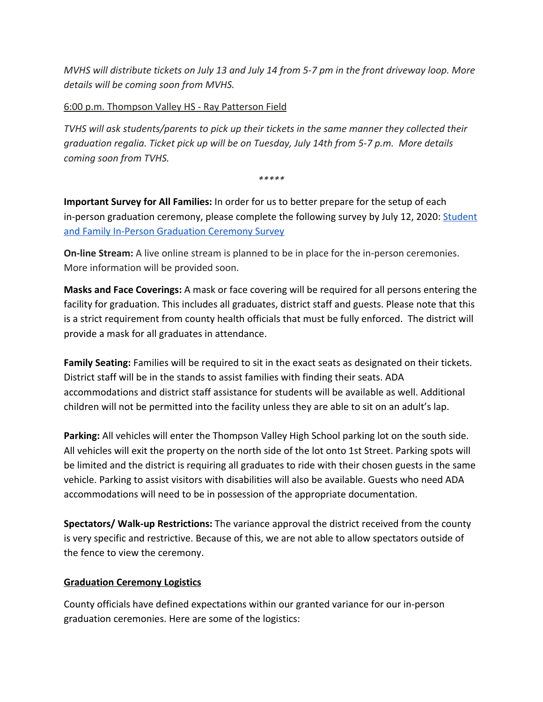*MVHS will distribute tickets on July 13 and July 14 from 5-7 pm in the front driveway loop. More details will be coming soon from MVHS.*

## 6:00 p.m. Thompson Valley HS - Ray Patterson Field

*TVHS will ask students/parents to pick up their tickets in the same manner they collected their graduation regalia. Ticket pick up will be on Tuesday, July 14th from 5-7 p.m. More details coming soon from TVHS.*

*\*\*\*\*\**

**Important Survey for All Families:** In order for us to better prepare for the setup of each in-person graduation ceremony, please complete the following survey by July 12, 2020: [Student](https://docs.google.com/forms/d/1na-CITMSyuWfr5lYCL2Img74-MRgLThcngHbzkAhd1c/edit?ts=5ede6e98) [and Family In-Person Graduation Ceremony Survey](https://docs.google.com/forms/d/1na-CITMSyuWfr5lYCL2Img74-MRgLThcngHbzkAhd1c/edit?ts=5ede6e98)

**On-line Stream:** A live online stream is planned to be in place for the in-person ceremonies. More information will be provided soon.

**Masks and Face Coverings:** A mask or face covering will be required for all persons entering the facility for graduation. This includes all graduates, district staff and guests. Please note that this is a strict requirement from county health officials that must be fully enforced. The district will provide a mask for all graduates in attendance.

**Family Seating:** Families will be required to sit in the exact seats as designated on their tickets. District staff will be in the stands to assist families with finding their seats. ADA accommodations and district staff assistance for students will be available as well. Additional children will not be permitted into the facility unless they are able to sit on an adult's lap.

**Parking:** All vehicles will enter the Thompson Valley High School parking lot on the south side. All vehicles will exit the property on the north side of the lot onto 1st Street. Parking spots will be limited and the district is requiring all graduates to ride with their chosen guests in the same vehicle. Parking to assist visitors with disabilities will also be available. Guests who need ADA accommodations will need to be in possession of the appropriate documentation.

**Spectators/ Walk-up Restrictions:** The variance approval the district received from the county is very specific and restrictive. Because of this, we are not able to allow spectators outside of the fence to view the ceremony.

### **Graduation Ceremony Logistics**

County officials have defined expectations within our granted variance for our in-person graduation ceremonies. Here are some of the logistics: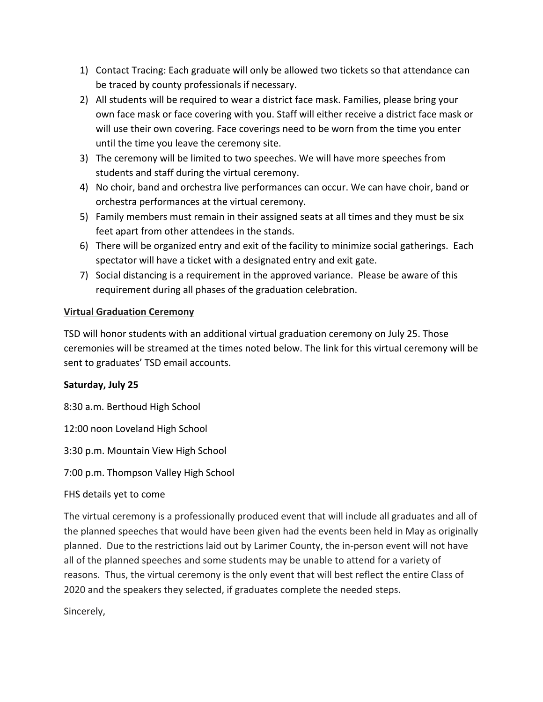- 1) Contact Tracing: Each graduate will only be allowed two tickets so that attendance can be traced by county professionals if necessary.
- 2) All students will be required to wear a district face mask. Families, please bring your own face mask or face covering with you. Staff will either receive a district face mask or will use their own covering. Face coverings need to be worn from the time you enter until the time you leave the ceremony site.
- 3) The ceremony will be limited to two speeches. We will have more speeches from students and staff during the virtual ceremony.
- 4) No choir, band and orchestra live performances can occur. We can have choir, band or orchestra performances at the virtual ceremony.
- 5) Family members must remain in their assigned seats at all times and they must be six feet apart from other attendees in the stands.
- 6) There will be organized entry and exit of the facility to minimize social gatherings. Each spectator will have a ticket with a designated entry and exit gate.
- 7) Social distancing is a requirement in the approved variance. Please be aware of this requirement during all phases of the graduation celebration.

## **Virtual Graduation Ceremony**

TSD will honor students with an additional virtual graduation ceremony on July 25. Those ceremonies will be streamed at the times noted below. The link for this virtual ceremony will be sent to graduates' TSD email accounts.

## **Saturday, July 25**

8:30 a.m. Berthoud High School

12:00 noon Loveland High School

3:30 p.m. Mountain View High School

7:00 p.m. Thompson Valley High School

# FHS details yet to come

The virtual ceremony is a professionally produced event that will include all graduates and all of the planned speeches that would have been given had the events been held in May as originally planned. Due to the restrictions laid out by Larimer County, the in-person event will not have all of the planned speeches and some students may be unable to attend for a variety of reasons. Thus, the virtual ceremony is the only event that will best reflect the entire Class of 2020 and the speakers they selected, if graduates complete the needed steps.

Sincerely,